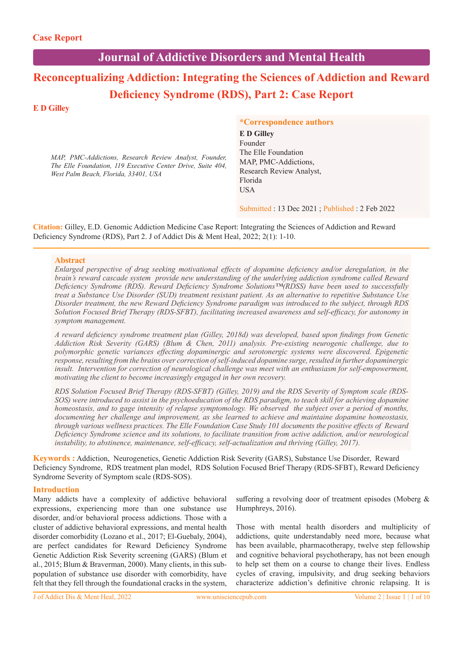# **Journal of Addictive Disorders and Mental Health**

# **Reconceptualizing Addiction: Integrating the Sciences of Addiction and Reward Deficiency Syndrome (RDS), Part 2: Case Report**

# **E D Gilley**

*MAP, PMC-Addictions, Research Review Analyst, Founder, The Elle Foundation, 119 Executive Center Drive, Suite 404, West Palm Beach, Florida, 33401, USA*

# **\*Correspondence authors**

**E D Gilley** Founder The Elle Foundation MAP, PMC-Addictions, Research Review Analyst, Florida **USA** 

Submitted : 13 Dec 2021 ; Published : 2 Feb 2022

**Citation:** Gilley, E.D. Genomic Addiction Medicine Case Report: Integrating the Sciences of Addiction and Reward Deficiency Syndrome (RDS), Part 2. J of Addict Dis & Ment Heal, 2022; 2(1): 1-10.

#### **Abstract**

*Enlarged perspective of drug seeking motivational effects of dopamine deficiency and/or deregulation, in the brain's reward cascade system provide new understanding of the underlying addiction syndrome called Reward Deficiency Syndrome (RDS). Reward Deficiency Syndrome Solutions™(RDSS) have been used to successfully treat a Substance Use Disorder (SUD) treatment resistant patient. As an alternative to repetitive Substance Use Disorder treatment, the new Reward Deficiency Syndrome paradigm was introduced to the subject, through RDS Solution Focused Brief Therapy (RDS-SFBT), facilitating increased awareness and self-efficacy, for autonomy in symptom management.* 

*A reward deficiency syndrome treatment plan (Gilley, 2018d) was developed, based upon findings from Genetic Addiction Risk Severity (GARS) (Blum & Chen, 2011) analysis. Pre-existing neurogenic challenge, due to polymorphic genetic variances effecting dopaminergic and serotonergic systems were discovered. Epigenetic response, resulting from the brains over correction of self-induced dopamine surge, resulted in further dopaminergic insult. Intervention for correction of neurological challenge was meet with an enthusiasm for self-empowerment, motivating the client to become increasingly engaged in her own recovery.*

*RDS Solution Focused Brief Therapy (RDS-SFBT) (Gilley, 2019) and the RDS Severity of Symptom scale (RDS-SOS)* were introduced to assist in the psychoeducation of the RDS paradigm, to teach skill for achieving dopamine *homeostasis, and to gage intensity of relapse symptomology. We observed the subject over a period of months, documenting her challenge and improvement, as she learned to achieve and maintaine dopamine homeostasis, through various wellness practices. The Elle Foundation Case Study 101 documents the positive effects of Reward Deficiency Syndrome science and its solutions, to facilitate transition from active addiction, and/or neurological instability, to abstinence, maintenance, self-efficacy, self-actualization and thriving (Gilley, 2017).* 

**Keywords :** Addiction, Neurogenetics, Genetic Addiction Risk Severity (GARS), Substance Use Disorder, Reward Deficiency Syndrome, RDS treatment plan model, RDS Solution Focused Brief Therapy (RDS-SFBT), Reward Deficiency Syndrome Severity of Symptom scale (RDS-SOS).

#### **Introduction**

Many addicts have a complexity of addictive behavioral expressions, experiencing more than one substance use disorder, and/or behavioral process addictions. Those with a cluster of addictive behavioral expressions, and mental health disorder comorbidity (Lozano et al., 2017; El-Guebaly, 2004), are perfect candidates for Reward Deficiency Syndrome Genetic Addiction Risk Severity screening (GARS) (Blum et al., 2015; Blum & Braverman, 2000). Many clients, in this subpopulation of substance use disorder with comorbidity, have felt that they fell through the foundational cracks in the system,

suffering a revolving door of treatment episodes (Moberg & Humphreys, 2016).

Those with mental health disorders and multiplicity of addictions, quite understandably need more, because what has been available, pharmacotherapy, twelve step fellowship and cognitive behavioral psychotherapy, has not been enough to help set them on a course to change their lives. Endless cycles of craving, impulsivity, and drug seeking behaviors characterize addiction's definitive chronic relapsing. It is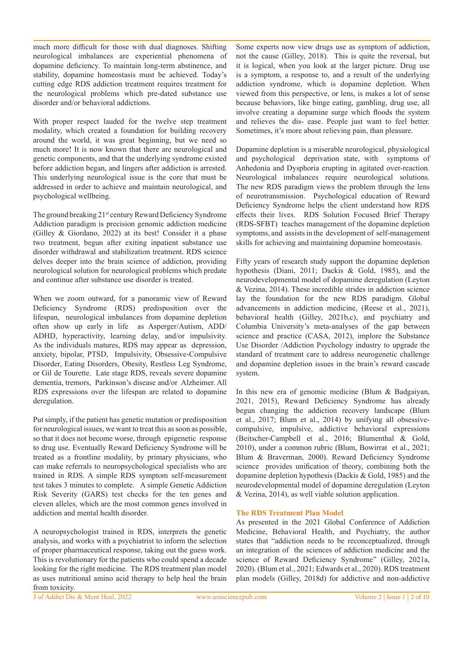much more difficult for those with dual diagnoses. Shifting neurological imbalances are experiential phenomena of dopamine deficiency. To maintain long-term abstinence, and stability, dopamine homeostasis must be achieved. Today's cutting edge RDS addiction treatment requires treatment for the neurological problems which pre-dated substance use disorder and/or behavioral addictions.

With proper respect lauded for the twelve step treatment modality, which created a foundation for building recovery around the world, it was great beginning, but we need so much more! It is now known that there are neurological and genetic components, and that the underlying syndrome existed before addiction began, and lingers after addiction is arrested. This underlying neurological issue is the core that must be addressed in order to achieve and maintain neurological, and psychological wellbeing.

The ground breaking 21<sup>st</sup> century Reward Deficiency Syndrome Addiction paradigm is precision genomic addiction medicine (Gilley & Giordano, 2022) at its best! Consider it a phase two treatment, begun after exiting inpatient substance use disorder withdrawal and stabilization treatment. RDS science delves deeper into the brain science of addiction, providing neurological solution for neurological problems which predate and continue after substance use disorder is treated.

When we zoom outward, for a panoramic view of Reward Deficiency Syndrome (RDS) predisposition over the lifespan, neurological imbalances from dopamine depletion often show up early in life as Asperger/Autism, ADD/ ADHD, hyperactivity, learning delay, and/or impulsivity. As the individuals matures, RDS may appear as depression, anxiety, bipolar, PTSD, Impulsivity, Obsessive-Compulsive Disorder, Eating Disorders, Obesity, Restless Leg Syndrome, or Gil de Tourette. Late stage RDS, reveals severe dopamine dementia, tremors, Parkinson's disease and/or Alzheimer. All RDS expressions over the lifespan are related to dopamine deregulation.

Put simply, if the patient has genetic mutation or predisposition for neurological issues, we want to treat this as soon as possible, so that it does not become worse, through epigenetic response to drug use. Eventually Reward Deficiency Syndrome will be treated as a frontline modality, by primary physicians, who can make referrals to neuropsychological specialists who are trained in RDS. A simple RDS symptom self-measurement test takes 3 minutes to complete. A simple Genetic Addiction Risk Severity (GARS) test checks for the ten genes and eleven alleles, which are the most common genes involved in addiction and mental health disorder.

A neuropsychologist trained in RDS, interprets the genetic analysis, and works with a psychiatrist to inform the selection of proper pharmaceutical response, taking out the guess work. This is revolutionary for the patients who could spend a decade looking for the right medicine. The RDS treatment plan model as uses nutritional amino acid therapy to help heal the brain from toxicity.

Some experts now view drugs use as symptom of addiction, not the cause (Gilley, 2018). This is quite the reversal, but it is logical, when you look at the larger picture. Drug use is a symptom, a response to, and a result of the underlying addiction syndrome, which is dopamine depletion. When viewed from this perspective, or lens, is makes a lot of sense because behaviors, like binge eating, gambling, drug use, all involve creating a dopamine surge which floods the system and relieves the dis- ease. People just want to feel better. Sometimes, it's more about relieving pain, than pleasure.

Dopamine depletion is a miserable neurological, physiological and psychological deprivation state, with symptoms of Anhedonia and Dysphoria erupting in agitated over-reaction. Neurological imbalances require neurological solutions. The new RDS paradigm views the problem through the lens of neurotransmission. Psychological education of Reward Deficiency Syndrome helps the client understand how RDS effects their lives. RDS Solution Focused Brief Therapy (RDS-SFBT) teaches management of the dopamine depletion symptoms, and assists in the development of self-management skills for achieving and maintaining dopamine homeostasis.

Fifty years of research study support the dopamine depletion hypothesis (Diani, 2011; Dackis & Gold, 1985), and the neurodevelopmental model of dopamine deregulation (Leyton & Vezina, 2014). These incredible strides in addiction science lay the foundation for the new RDS paradigm. Global advancements in addiction medicine, (Reese et al., 2021), behavioral health (Gilley, 2021b,c), and psychiatry and Columbia University's meta-analyses of the gap between science and practice (CASA, 2012), implore the Substance Use Disorder /Addiction Psychology industry to upgrade the standard of treatment care to address neurogenetic challenge and dopamine depletion issues in the brain's reward cascade system.

In this new era of genomic medicine (Blum & Badgaiyan, 2021, 2015), Reward Deficiency Syndrome has already begun changing the addiction recovery landscape (Blum et al., 2017; Blum et al., 2014) by unifying all obsessivecompulsive, impulsive, addictive behavioral expressions (Beitscher-Campbell et al., 2016; Blumenthal & Gold, 2010), under a common rubric (Blum, Bowirrat et al., 2021; Blum & Braverman, 2000). Reward Deficiency Syndrome science provides unification of theory, combining both the dopamine depletion hypothesis (Dackis & Gold, 1985) and the neurodevelopmental model of dopamine deregulation (Leyton & Vezina, 2014), as well viable solution application.

#### **The RDS Treatment Plan Model**

As presented in the 2021 Global Conference of Addiction Medicine, Behavioral Health, and Psychiatry, the author states that "addiction needs to be reconceptualized, through an integration of the sciences of addiction medicine and the science of Reward Deficiency Syndrome" (Gilley, 2021a, 2020). (Blum et al., 2021; Edwards et al., 2020). RDS treatment plan models (Gilley, 2018d) for addictive and non-addictive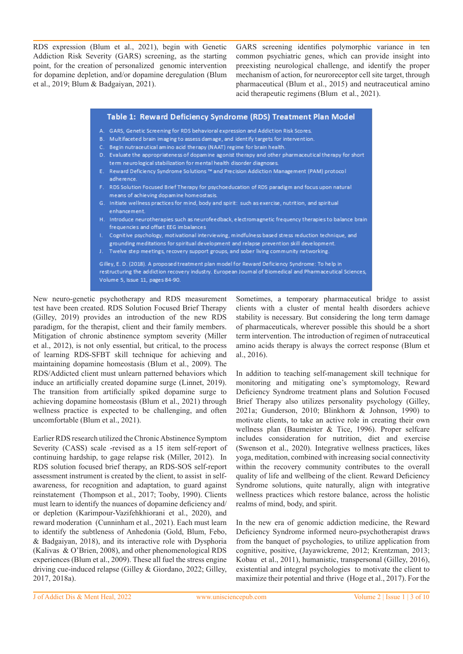RDS expression (Blum et al., 2021), begin with Genetic Addiction Risk Severity (GARS) screening, as the starting point, for the creation of personalized genomic intervention for dopamine depletion, and/or dopamine deregulation (Blum et al., 2019; Blum & Badgaiyan, 2021).

GARS screening identifies polymorphic variance in ten common psychiatric genes, which can provide insight into preexisting neurological challenge, and identify the proper mechanism of action, for neuroreceptor cell site target, through pharmaceutical (Blum et al., 2015) and neutraceutical amino acid therapeutic regimens (Blum et al., 2021).

| Table 1: Reward Deficiency Syndrome (RDS) Treatment Plan Model                                                                                                                                                                                     |  |
|----------------------------------------------------------------------------------------------------------------------------------------------------------------------------------------------------------------------------------------------------|--|
| A. GARS, Genetic Screening for RDS behavioral expression and Addiction Risk Scores.                                                                                                                                                                |  |
| Multifaceted brain imaging to assess damage, and identify targets for intervention.<br>В.                                                                                                                                                          |  |
| Begin nutraceutical amino acid therapy (NAAT) regime for brain health.<br>$\mathbf{C}$ .                                                                                                                                                           |  |
| Evaluate the appropriateness of dopamine agonist therapy and other pharmaceutical therapy for short<br>D.<br>term neurological stabilization for mental health disorder diagnoses.                                                                 |  |
| E. Reward Deficiency Syndrome Solutions ™ and Precision Addiction Management (PAM) protocol<br>adherence.                                                                                                                                          |  |
| F. RDS Solution Focused Brief Therapy for psychoeducation of RDS paradigm and focus upon natural<br>means of achieving dopamine homeostasis.                                                                                                       |  |
| G. Initiate wellness practices for mind, body and spirit: such as exercise, nutrition, and spiritual<br>enhancement.                                                                                                                               |  |
| H. Introduce neurotherapies such as neurofeedback, electromagnetic frequency therapies to balance brain<br>frequencies and offset EEG imbalances                                                                                                   |  |
| Cognitive psychology, motivational interviewing, mindfulness based stress reduction technique, and<br>L.<br>grounding meditations for spiritual development and relapse prevention skill development.                                              |  |
| J. Twelve step meetings, recovery support groups, and sober living community networking.                                                                                                                                                           |  |
| Gilley, E. D. (2018). A proposed treatment plan model for Reward Deficiency Syndrome: To help in<br>restructuring the addiction recovery industry. European Journal of Biomedical and Pharmaceutical Sciences,<br>Volume 5, Issue 11, pages 84-90. |  |

New neuro-genetic psychotherapy and RDS measurement test have been created. RDS Solution Focused Brief Therapy (Gilley, 2019) provides an introduction of the new RDS paradigm, for the therapist, client and their family members. Mitigation of chronic abstinence symptom severity (Miller et al., 2012), is not only essential, but critical, to the process of learning RDS-SFBT skill technique for achieving and maintaining dopamine homeostasis (Blum et al., 2009). The RDS/Addicted client must unlearn patterned behaviors which induce an artificially created dopamine surge (Linnet, 2019). The transition from artificially spiked dopamine surge to achieving dopamine homeostasis (Blum et al., 2021) through wellness practice is expected to be challenging, and often uncomfortable (Blum et al., 2021).

Earlier RDS research utilized the Chronic Abstinence Symptom Severity (CASS) scale -revised as a 15 item self-report of continuing hardship, to gage relapse risk (Miller, 2012). In RDS solution focused brief therapy, an RDS-SOS self-report assessment instrument is created by the client, to assist in selfawareness, for recognition and adaptation, to guard against reinstatement (Thompson et al., 2017; Tooby, 1990). Clients must learn to identify the nuances of dopamine deficiency and/ or depletion (Karimpour-Vazifehkhiorani et al., 2020), and reward moderation (Cunninham et al., 2021). Each must learn to identify the subtleness of Anhedonia (Gold, Blum, Febo, & Badgaiyan, 2018), and its interactive role with Dysphoria (Kalivas & O'Brien, 2008), and other phenomenological RDS experiences (Blum et al., 2009). These all fuel the stress engine driving cue-induced relapse (Gilley & Giordano, 2022; Gilley, 2017, 2018a).

Sometimes, a temporary pharmaceutical bridge to assist clients with a cluster of mental health disorders achieve stability is necessary. But considering the long term damage of pharmaceuticals, wherever possible this should be a short term intervention. The introduction of regimen of nutraceutical amino acids therapy is always the correct response (Blum et al., 2016).

In addition to teaching self-management skill technique for monitoring and mitigating one's symptomology, Reward Deficiency Syndrome treatment plans and Solution Focused Brief Therapy also utilizes personality psychology (Gilley, 2021a; Gunderson, 2010; Blinkhorn & Johnson, 1990) to motivate clients, to take an active role in creating their own wellness plan (Baumeister & Tice, 1996). Proper selfcare includes consideration for nutrition, diet and exercise (Swenson et al., 2020). Integrative wellness practices, likes yoga, meditation, combined with increasing social connectivity within the recovery community contributes to the overall quality of life and wellbeing of the client. Reward Deficiency Syndrome solutions, quite naturally, align with integrative wellness practices which restore balance, across the holistic realms of mind, body, and spirit.

In the new era of genomic addiction medicine, the Reward Deficiency Syndrome informed neuro-psychotherapist draws from the banquet of psychologies, to utilize application from cognitive, positive, (Jayawickreme, 2012; Krentzman, 2013; Kobau et al., 2011), humanistic, transpersonal (Gilley, 2016), existential and integral psychologies to motivate the client to maximize their potential and thrive (Hoge et al., 2017). For the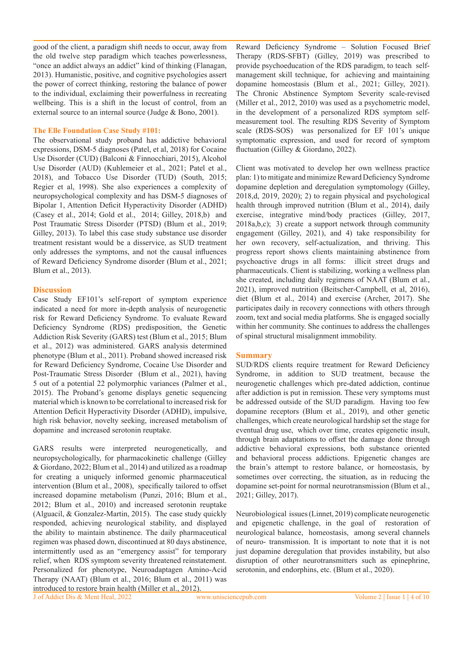good of the client, a paradigm shift needs to occur, away from the old twelve step paradigm which teaches powerlessness, "once an addict always an addict" kind of thinking (Flanagan, 2013). Humanistic, positive, and cognitive psychologies assert the power of correct thinking, restoring the balance of power to the individual, exclaiming their powerfulness in recreating wellbeing. This is a shift in the locust of control, from an external source to an internal source (Judge & Bono, 2001).

#### **The Elle Foundation Case Study #101:**

The observational study proband has addictive behavioral expressions, DSM-5 diagnoses (Patel, et al, 2018) for Cocaine Use Disorder (CUD) (Balconi & Finnocchiari, 2015), Alcohol Use Disorder (AUD) (Kuhlemeier et al., 2021; Patel et al., 2018), and Tobacco Use Disorder (TUD) (South, 2015; Regier et al, 1998). She also experiences a complexity of neuropsychological complexity and has DSM-5 diagnoses of Bipolar 1, Attention Deficit Hyperactivity Disorder (ADHD) (Casey et al., 2014; Gold et al., 2014; Gilley, 2018,b) and Post Traumatic Stress Disorder (PTSD) (Blum et al., 2019; Gilley, 2013). To label this case study substance use disorder treatment resistant would be a disservice, as SUD treatment only addresses the symptoms, and not the causal influences of Reward Deficiency Syndrome disorder (Blum et al., 2021; Blum et al., 2013).

#### **Discussion**

Case Study EF101's self-report of symptom experience indicated a need for more in-depth analysis of neurogenetic risk for Reward Deficiency Syndrome. To evaluate Reward Deficiency Syndrome (RDS) predisposition, the Genetic Addiction Risk Severity (GARS) test (Blum et al., 2015; Blum et al., 2012) was administered. GARS analysis determined phenotype (Blum et al., 2011). Proband showed increased risk for Reward Deficiency Syndrome, Cocaine Use Disorder and Post-Traumatic Stress Disorder (Blum et al., 2021), having 5 out of a potential 22 polymorphic variances (Palmer et al., 2015). The Proband's genome displays genetic sequencing material which is known to be correlational to increased risk for Attention Deficit Hyperactivity Disorder (ADHD), impulsive, high risk behavior, novelty seeking, increased metabolism of dopamine and increased serotonin reuptake.

GARS results were interpreted neurogenetically, and neuropsychologically, for pharmacokinetic challenge (Gilley & Giordano, 2022; Blum et al., 2014) and utilized as a roadmap for creating a uniquely informed genomic pharmaceutical intervention (Blum et al., 2008), specifically tailored to offset increased dopamine metabolism (Punzi, 2016; Blum et al., 2012; Blum et al., 2010) and increased serotonin reuptake (Alguacil, & Gonzalez-Martin, 2015). The case study quickly responded, achieving neurological stability, and displayed the ability to maintain abstinence. The daily pharmaceutical regimen was phased down, discontinued at 80 days abstinence, intermittently used as an "emergency assist" for temporary relief, when RDS symptom severity threatened reinstatement. Personalized for phenotype, Neuroadaptagen Amino-Acid Therapy (NAAT) (Blum et al., 2016; Blum et al., 2011) was

Reward Deficiency Syndrome – Solution Focused Brief Therapy (RDS-SFBT) (Gilley, 2019) was prescribed to provide psychoeducation of the RDS paradigm, to teach selfmanagement skill technique, for achieving and maintaining dopamine homeostasis (Blum et al., 2021; Gilley, 2021). The Chronic Abstinence Symptom Severity scale-revised (Miller et al., 2012, 2010) was used as a psychometric model, in the development of a personalized RDS symptom selfmeasurement tool. The resulting RDS Severity of Symptom scale (RDS-SOS) was personalized for EF 101's unique symptomatic expression, and used for record of symptom fluctuation (Gilley & Giordano, 2022).

Client was motivated to develop her own wellness practice plan: 1) to mitigate and minimize Reward Deficiency Syndrome dopamine depletion and deregulation symptomology (Gilley, 2018,d, 2019, 2020); 2) to regain physical and psychological health through improved nutrition (Blum et al., 2014), daily exercise, integrative mind/body practices (Gilley, 2017, 2018a,b,c); 3) create a support network through community engagement (Gilley, 2021), and 4) take responsibility for her own recovery, self-actualization, and thriving. This progress report shows clients maintaining abstinence from psychoactive drugs in all forms: illicit street drugs and pharmaceuticals. Client is stabilizing, working a wellness plan she created, including daily regimens of NAAT (Blum et al., 2021), improved nutrition (Beitscher-Campbell, et al, 2016), diet (Blum et al., 2014) and exercise (Archer, 2017). She participates daily in recovery connections with others through zoom, text and social media platforms. She is engaged socially within her community. She continues to address the challenges of spinal structural misalignment immobility.

#### **Summary**

SUD/RDS clients require treatment for Reward Deficiency Syndrome, in addition to SUD treatment, because the neurogenetic challenges which pre-dated addiction, continue after addiction is put in remission. These very symptoms must be addressed outside of the SUD paradigm. Having too few dopamine receptors (Blum et al., 2019), and other genetic challenges, which create neurological hardship set the stage for eventual drug use, which over time, creates epigenetic insult, through brain adaptations to offset the damage done through addictive behavioral expressions, both substance oriented and behavioral process addictions. Epigenetic changes are the brain's attempt to restore balance, or homeostasis, by sometimes over correcting, the situation, as in reducing the dopamine set-point for normal neurotransmission (Blum et al., 2021; Gilley, 2017).

Neurobiological issues (Linnet, 2019) complicate neurogenetic and epigenetic challenge, in the goal of restoration of neurological balance, homeostasis, among several channels of neuro- transmission. It is important to note that it is not just dopamine deregulation that provides instability, but also disruption of other neurotransmitters such as epinephrine, serotonin, and endorphins, etc. (Blum et al., 2020).

J of Addict Dis & Ment Heal, 2022 www.unisciencepub.com Volume 2 | Issue 1 | 4 of 10 introduced to restore brain health (Miller et al., 2012).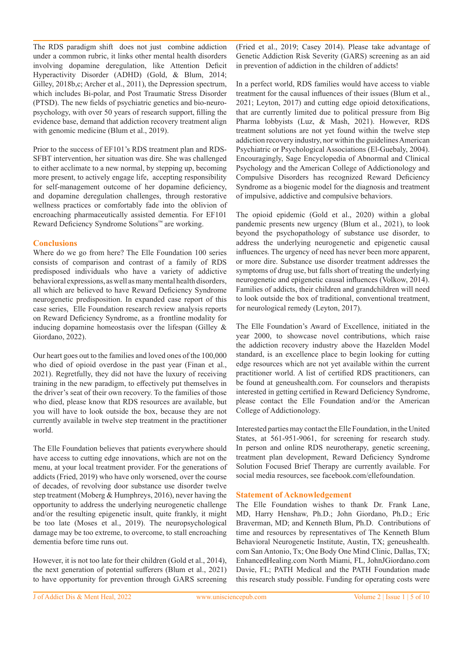The RDS paradigm shift does not just combine addiction under a common rubric, it links other mental health disorders involving dopamine deregulation, like Attention Deficit Hyperactivity Disorder (ADHD) (Gold, & Blum, 2014; Gilley, 2018b,c; Archer et al., 2011), the Depression spectrum, which includes Bi-polar, and Post Traumatic Stress Disorder (PTSD). The new fields of psychiatric genetics and bio-neuropsychology, with over 50 years of research support, filling the evidence base, demand that addiction recovery treatment align with genomic medicine (Blum et al., 2019).

Prior to the success of EF101's RDS treatment plan and RDS-SFBT intervention, her situation was dire. She was challenged to either acclimate to a new normal, by stepping up, becoming more present, to actively engage life, accepting responsibility for self-management outcome of her dopamine deficiency, and dopamine deregulation challenges, through restorative wellness practices or comfortably fade into the oblivion of encroaching pharmaceutically assisted dementia. For EF101 Reward Deficiency Syndrome Solutions™ are working.

### **Conclusions**

Where do we go from here? The Elle Foundation 100 series consists of comparison and contrast of a family of RDS predisposed individuals who have a variety of addictive behavioral expressions, as well as many mental health disorders, all which are believed to have Reward Deficiency Syndrome neurogenetic predisposition. In expanded case report of this case series, Elle Foundation research review analysis reports on Reward Deficiency Syndrome, as a frontline modality for inducing dopamine homeostasis over the lifespan (Gilley & Giordano, 2022).

Our heart goes out to the families and loved ones of the 100,000 who died of opioid overdose in the past year (Finan et al., 2021). Regretfully, they did not have the luxury of receiving training in the new paradigm, to effectively put themselves in the driver's seat of their own recovery. To the families of those who died, please know that RDS resources are available, but you will have to look outside the box, because they are not currently available in twelve step treatment in the practitioner world.

The Elle Foundation believes that patients everywhere should have access to cutting edge innovations, which are not on the menu, at your local treatment provider. For the generations of addicts (Fried, 2019) who have only worsened, over the course of decades, of revolving door substance use disorder twelve step treatment (Moberg & Humphreys, 2016), never having the opportunity to address the underlying neurogenetic challenge and/or the resulting epigenetic insult, quite frankly, it might be too late (Moses et al., 2019). The neuropsychological damage may be too extreme, to overcome, to stall encroaching dementia before time runs out.

However, it is not too late for their children (Gold et al., 2014), the next generation of potential sufferers (Blum et al., 2021) to have opportunity for prevention through GARS screening (Fried et al., 2019; Casey 2014). Please take advantage of Genetic Addiction Risk Severity (GARS) screening as an aid in prevention of addiction in the children of addicts!

In a perfect world, RDS families would have access to viable treatment for the causal influences of their issues (Blum et al., 2021; Leyton, 2017) and cutting edge opioid detoxifications, that are currently limited due to political pressure from Big Pharma lobbyists (Luz, & Mash, 2021). However, RDS treatment solutions are not yet found within the twelve step addiction recovery industry, nor within the guidelines American Psychiatric or Psychological Associations (El-Guebaly, 2004). Encouragingly, Sage Encyclopedia of Abnormal and Clinical Psychology and the American College of Addictionology and Compulsive Disorders has recognized Reward Deficiency Syndrome as a biogenic model for the diagnosis and treatment of impulsive, addictive and compulsive behaviors.

The opioid epidemic (Gold et al., 2020) within a global pandemic presents new urgency (Blum et al., 2021), to look beyond the psychopathology of substance use disorder, to address the underlying neurogenetic and epigenetic causal influences. The urgency of need has never been more apparent, or more dire. Substance use disorder treatment addresses the symptoms of drug use, but falls short of treating the underlying neurogenetic and epigenetic causal influences (Volkow, 2014). Families of addicts, their children and grandchildren will need to look outside the box of traditional, conventional treatment, for neurological remedy (Leyton, 2017).

The Elle Foundation's Award of Excellence, initiated in the year 2000, to showcase novel contributions, which raise the addiction recovery industry above the Hazelden Model standard, is an excellence place to begin looking for cutting edge resources which are not yet available within the current practitioner world. A list of certified RDS practitioners, can be found at geneushealth.com. For counselors and therapists interested in getting certified in Reward Deficiency Syndrome, please contact the Elle Foundation and/or the American College of Addictionology.

Interested parties may contact the Elle Foundation, in the United States, at 561-951-9061, for screening for research study. In person and online RDS neurotherapy, genetic screening, treatment plan development, Reward Deficiency Syndrome Solution Focused Brief Therapy are currently available. For social media resources, see facebook.com/ellefoundation.

#### **Statement of Acknowledgement**

The Elle Foundation wishes to thank Dr. Frank Lane, MD, Harry Henshaw, Ph.D.; John Giordano, Ph.D.; Eric Braverman, MD; and Kenneth Blum, Ph.D. Contributions of time and resources by representatives of The Kenneth Blum Behavioral Neurogenetic Institute, Austin, TX; geneushealth. com San Antonio, Tx; One Body One Mind Clinic, Dallas, TX; EnhancedHealing.com North Miami, FL, JohnJGiordano.com Davie, FL; PATH Medical and the PATH Foundation made this research study possible. Funding for operating costs were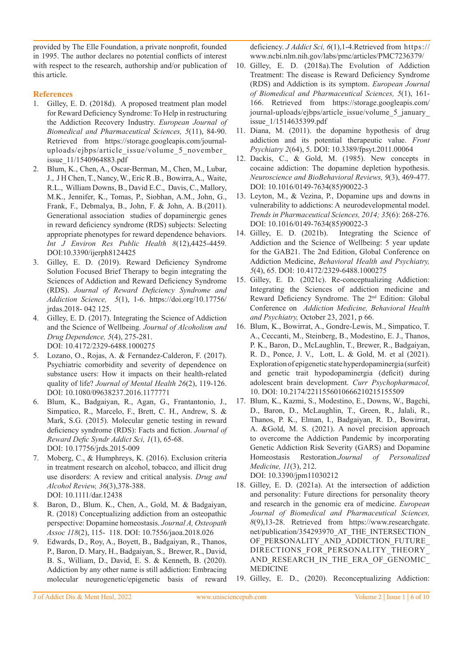provided by The Elle Foundation, a private nonprofit, founded in 1995. The author declares no potential conflicts of interest with respect to the research, authorship and/or publication of this article.

# **References**

- 1. Gilley, E. D. (2018d). A proposed treatment plan model for Reward Deficiency Syndrome: To Help in restructuring the Addiction Recovery Industry. *European Journal of Biomedical and Pharmaceutical Sciences, 5*(11), 84-90. Retrieved from https://storage.googleapis.com/journaluploads/ejbps/article\_issue/volume\_5\_november\_ issue\_11/1540964883.pdf
- 2. Blum, K., Chen, A., Oscar-Berman, M., Chen, M., Lubar, J., J H Chen, T., Nancy, W., Eric R .B., Bowirra, A., Waite, R.L., William Downs, B., David E.C., Davis, C., Mallory, M.K., Jennifer, K., Tomas, P., Siobhan, A.M., John, G., Frank, F., Debmalya, B., John, F. & John, A. B.(2011). Generational association studies of dopaminergic genes in reward deficiency syndrome (RDS) subjects: Selecting appropriate phenotypes for reward dependence behaviors. *Int J Environ Res Public Health 8*(12),4425-4459. DOI:10.3390/ijerph8124425
- 3. Gilley, E. D. (2019). Reward Deficiency Syndrome Solution Focused Brief Therapy to begin integrating the Sciences of Addiction and Reward Deficiency Syndrome (RDS). *Journal of Reward Deficiency Syndrome and Addiction Science, 5*(1), 1-6. https://doi.org/10.17756/ jrdas.2018- 042 125.
- 4. Gilley, E. D. (2017). Integrating the Science of Addiction and the Science of Wellbeing. *Journal of Alcoholism and Drug Dependence, 5*(4), 275-281. DOI: 10.4172/2329-6488.1000275
- 5. Lozano, O., Rojas, A. & Fernandez-Calderon, F. (2017). Psychiatric comorbidity and severity of dependence on substance users: How it impacts on their health-related quality of life? *Journal of Mental Health 26*(2), 119-126. DOI: 10.1080/09638237.2016.1177771
- 6. Blum, K., Badgaiyan, R., Agan, G., Frantantonio, J., Simpatico, R., Marcelo, F., Brett, C. H., Andrew, S. & Mark, S.G. (2015). Molecular genetic testing in reward deficiency syndrome (RDS): Facts and fiction. *Journal of Reward Defic Syndr Addict Sci, 1*(1), 65-68. DOI: 10.17756/jrds.2015-009
- 7. Moberg, C., & Humphreys, K. (2016). Exclusion criteria in treatment research on alcohol, tobacco, and illicit drug use disorders: A review and critical analysis. *Drug and Alcohol Review, 36*(3),378-388. DOI: 10.1111/dar.12438
- 8. Baron, D., Blum. K., Chen, A., Gold, M. & Badgaiyan, R. (2018) Conceptualizing addiction from an osteopathic perspective: Dopamine homeostasis. *Journal A, Osteopath Assoc 118*(2), 115- 118. DOI: 10.7556/jaoa.2018.026
- 9. Edwards, D., Roy, A., Boyett, B., Badgaiyan, R., Thanos, P., Baron, D. Mary, H., Badgaiyan, S., Brewer, R., David, B. S., William, D., David, E. S. & Kenneth, B. (2020). Addiction by any other name is still addiction: Embracing molecular neurogenetic/epigenetic basis of reward

deficiency. *J Addict Sci, 6*(1),1-4.Retrieved from https:// www.ncbi.nlm.nih.gov/labs/pmc/articles/PMC7236379/

- 10. Gilley, E. D. (2018a).The Evolution of Addiction Treatment: The disease is Reward Deficiency Syndrome (RDS) and Addiction is its symptom. *European Journal of Biomedical and Pharmaceutical Sciences, 5*(1), 161- 166. Retrieved from https://storage.googleapis.com/ journal-uploads/ejbps/article\_issue/volume\_5\_january\_ issue\_1/1514635399.pdf
- 11. Diana, M. (2011). the dopamine hypothesis of drug addiction and its potential therapeutic value. *Front Psychiatry 2*(64), 5. DOI: 10.3389/fpsyt.2011.00064
- 12. Dackis, C., & Gold, M. (1985). New concepts in cocaine addiction: The dopamine depletion hypothesis. *Neuroscience and BioBehavioral Reviews, 9*(3), 469-477. DOI: 10.1016/0149-7634(85)90022-3
- 13. Leyton, M., & Vezina, P., Dopamine ups and downs in vulnerability to addictions: A neurodevelopmental model. *Trends in Pharmaceutical Sciences, 2014; 35*(6): 268-276. DOI: 10.1016/0149-7634(85)90022-3
- 14. Gilley, E. D. (2021b). Integrating the Science of Addiction and the Science of Wellbeing: 5 year update for the GAB21. The 2nd Edition, Global Conference on Addiction Medicine, *Behavioral Health and Psychiatry, 5*(4), 65. DOI: 10.4172/2329-6488.1000275
- 15. Gilley, E. D. (2021c). Re-conceptualizing Addiction: Integrating the Sciences of addiction medicine and Reward Deficiency Syndrome. The 2nd Edition: Global Conference on *Addiction Medicine, Behavioral Health and Psychiatry,* October 23, 2021, p 66.
- 16. Blum, K., Bowirrat, A., Gondre-Lewis, M., Simpatico, T. A., Ceccanti, M., Steinberg, B., Modestino, E. J., Thanos, P. K., Baron, D., McLaughlin, T., Brewer, R., Badgaiyan, R. D., Ponce, J. V., Lott, L. & Gold, M. et al (2021). Exploration of epigenetic state hyperdopaminergia (surfeit) and genetic trait hypodopaminergia (deficit) during adolescent brain development. *Curr Psychopharmacol,*  10. DOI: 10.2174/2211556010666210215155509
- 17. Blum, K., Kazmi, S., Modestino, E., Downs, W., Bagchi, D., Baron, D., McLaughlin, T., Green, R., Jalali, R., Thanos, P. K., Elman, I., Badgaiyan, R. D., Bowirrat, A. &Gold, M. S. (2021). A novel precision approach to overcome the Addiction Pandemic by incorporating Genetic Addiction Risk Severity (GARS) and Dopamine Homeostasis Restoration.*Journal of Personalized Medicine, 11*(3), 212.

DOI: 10.3390/jpm11030212

- 18. Gilley, E. D. (2021a). At the intersection of addiction and personality: Future directions for personality theory and research in the genomic era of medicine. *European Journal of Biomedical and Pharmaceutical Sciences, 8*(9),13-28. Retrieved from https://www.researchgate. net/publication/354293970\_AT\_THE\_INTERSECTION\_ OF PERSONALITY AND ADDICTION FUTURE DIRECTIONS\_FOR\_PERSONALITY\_THEORY\_ AND\_RESEARCH\_IN\_THE\_ERA\_OF\_GENOMIC MEDICINE
- 19. Gilley, E. D., (2020). Reconceptualizing Addiction: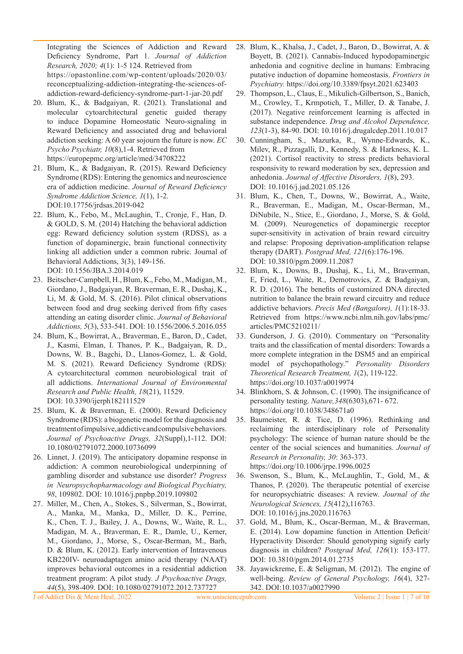Integrating the Sciences of Addiction and Reward Deficiency Syndrome, Part 1. *Journal of Addiction Research, 2020; 4*(1): 1-5 124. Retrieved from https://opastonline.com/wp-content/uploads/2020/03/ reconceptualizing-addiction-integrating-the-sciences-ofaddiction-reward-deficiency-syndrome-part-1-jar-20.pdf

- 20. Blum, K., & Badgaiyan, R. (2021). Translational and molecular cytoarchitectural genetic guided therapy to induce Dopamine Homeostatic Neuro-signaling in Reward Deficiency and associated drug and behavioral addiction seeking: A 60 year sojourn the future is now. *EC Psycho Psychiatr, 10*(8),1-4. Retrieved from https://europepmc.org/article/med/34708222
- 21. Blum, K., & Badgaiyan, R. (2015). Reward Deficiency Syndrome (RDS): Entering the genomics and neuroscience era of addiction medicine. *Journal of Reward Deficiency Syndrome Addiction Science, 1*(1), 1-2. DOI:10.17756/jrdsas.2019-042
- 22. Blum, K., Febo, M., McLaughin, T., Cronje, F., Han, D. & GOLD, S. M. (2014) Hatching the behavioral addiction egg: Reward deficiency solution system (RDSS), as a function of dopaminergic, brain functional connectivity linking all addiction under a common rubric. Journal of Behavioral Addictions, 3(3), 149-156. DOI: 10.1556/JBA.3.2014.019
- 23. Beitscher-Campbell, H., Blum, K., Febo, M., Madigan, M., Giordano, J., Badgaiyan, R. Braverman, E. R., Dushaj, K., Li, M. & Gold, M. S. (2016). Pilot clinical observations between food and drug seeking derived from fifty cases attending an eating disorder clinic. *Journal of Behavioral Addictions, 5*(3), 533-541. DOI: 10.1556/2006.5.2016.055
- 24. Blum, K., Bowirrat, A., Braverman, E., Baron, D., Cadet, J., Kasmi, Elman, I. Thanos, P. K., Badgaiyan, R. D., Downs, W. B., Bagchi, D., Llanos-Gomez, L. & Gold, M. S. (2021). Reward Deficiency Syndrome (RDS): A cytoarchitectural common neurobiological trait of all addictions. *International Journal of Environmental Research and Public Health, 18*(21), 11529. DOI: 10.3390/ijerph182111529
- 25. Blum, K. & Braverman, E. (2000). Reward Deficiency Syndrome (RDS): a biogenetic model for the diagnosis and treatment of impulsive, addictive and compulsive behaviors. *Journal of Psychoactive Drugs, 32*(Suppl),1-112. DOI: 10.1080/02791072.2000.10736099
- 26. Linnet, J. (2019). The anticipatory dopamine response in addiction: A common neurobiological underpinning of gambling disorder and substance use disorder? *Progress in Neuropsychopharmacology and Biological Psychiatry, 98*, 109802. DOI: 10.1016/j.pnpbp.2019.109802
- 27. Miller, M., Chen, A., Stokes, S., Silverman, S., Bowirrat, A., Manka, M., Manka, D., Miller, D. K., Perrine, K., Chen, T. J., Bailey, J. A., Downs, W., Waite, R. L., Madigan, M. A., Braverman, E. R., Damle, U., Kerner, M., Giordano, J., Morse, S., Oscar-Berman, M., Barh, D. & Blum, K. (2012). Early intervention of Intravenous KB220IV- neuroadaptagen amino acid therapy (NAAT) improves behavioral outcomes in a residential addiction treatment program: A pilot study. *J Psychoactive Drugs, 44*(5), 398-409. DOI: 10.1080/02791072.2012.737727
- 28. Blum, K., Khalsa, J., Cadet, J., Baron, D., Bowirrat, A. & Boyett, B. (2021). Cannabis-Induced hypodopaminergic anhedonia and cognitive decline in humans: Embracing putative induction of dopamine homeostasis. *Frontiers in Psychiatry.* https://doi.org/10.3389/fpsyt.2021.623403
- 29. Thompson, L., Claus, E., Mikulich-Gilbertson, S., Banich, M., Crowley, T., Krmpotich, T., Miller, D. & Tanabe, J. (2017). Negative reinforcement learning is affected in substance independence. *Drug and Alcohol Dependence, 123*(1-3), 84-90. DOI: 10.1016/j.drugalcdep.2011.10.017
- 30. Cunningham, S., Mazurka, R., Wynne-Edwards, K., Milev, R., Pizzagalli, D., Kennedy, S. & Harkness, K. L. (2021). Cortisol reactivity to stress predicts behavioral responsivity to reward moderation by sex, depression and anhedonia. *Journal of Affective Disorders, 1*(8), 293. DOI: 10.1016/j.jad.2021.05.126
- 31. Blum, K., Chen, T., Downs, W., Bowirrat, A., Waite, R., Braverman, E., Madigan, M., Oscar-Berman, M., DiNubile, N., Stice, E., Giordano, J., Morse, S. & Gold, M. (2009). Neurogenetics of dopaminergic receptor super-sensitivity in activation of brain reward circuitry and relapse: Proposing deprivation-amplification relapse therapy (DART). *Postgrad Med, 121*(6):176-196. DOI: 10.3810/pgm.2009.11.2087
- 32. Blum, K., Downs, B., Dushaj, K., Li, M., Braverman, E, Fried, L., Waite, R., Demotrovics, Z. & Badgaiyan, R. D. (2016). The benefits of customized DNA directed nutrition to balance the brain reward circuitry and reduce addictive behaviors. *Precis Med (Bangalore), 1*(1):18-33. Retrieved from https://www.ncbi.nlm.nih.gov/labs/pmc/ articles/PMC5210211/
- 33. Gunderson, J. G. (2010). Commentary on "Personality traits and the classification of mental disorders: Towards a more complete integration in the DSM5 and an empirical model of psychopathology." *Personality Disorders Theoretical Research Treatment, 1*(2), 119-122. https://doi.org/10.1037/a0019974
- 34. Blinkhorn, S. & Johnson, C. (1990). The insignificance of personality testing. *Nature,348*(6303),671- 672. https://doi.org/10.1038/348671a0
- 35. Baumeister, R. & Tice, D. (1996). Rethinking and reclaiming the interdisciplinary role of Personality psychology: The science of human nature should be the center of the social sciences and humanities. *Journal of Research in Personality, 30*: 363-373. https://doi.org/10.1006/jrpe.1996.0025
- 36. Swenson, S., Blum, K., McLaughlin, T., Gold, M., & Thanos, P. (2020). The therapeutic potential of exercise for neuropsychiatric diseases: A review. *Journal of the Neurological Sciences, 15*(412),116763. DOI: 10.1016/j.jns.2020.116763
- 37. Gold, M., Blum, K., Oscar-Berman, M., & Braverman, E. (2014). Low dopamine function in Attention Deficit/ Hyperactivity Disorder: Should genotyping signify early diagnosis in children? *Postgrad Med, 126*(1): 153-177. DOI: 10.3810/pgm.2014.01.2735
- 38. Jayawickreme, E. & Seligman, M. (2012). The engine of well-being. *Review of General Psychology, 16*(4), 327- 342. DOI:10.1037/a0027990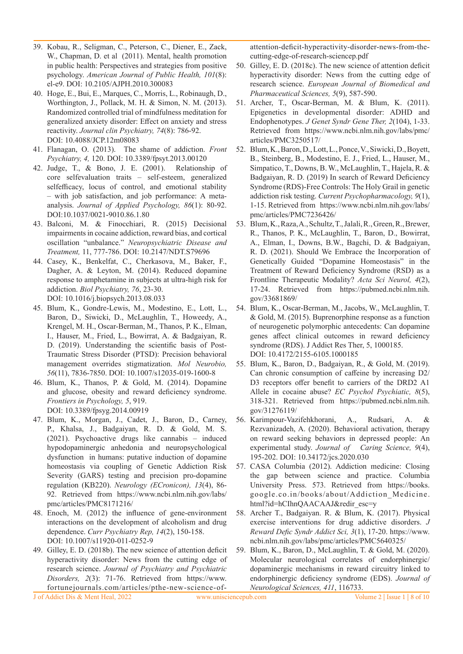- 39. Kobau, R., Seligman, C., Peterson, C., Diener, E., Zack, W., Chapman, D. et al (2011). Mental, health promotion in public health: Perspectives and strategies from positive psychology. *American Journal of Public Health, 101*(8): el-e9. DOI: 10.2105/AJPH.2010.300083
- 40. Hoge, E., Bui, E., Marques, C., Morris, L., Robinaugh, D., Worthington, J., Pollack, M. H. & Simon, N. M. (2013). Randomized controlled trial of mindfulness meditation for generalized anxiety disorder: Effect on anxiety and stress reactivity. *Journal clin Psychiatry, 74*(8): 786-92. DOI: 10.4088/JCP.12m08083
- 41. Flanagan, O. (2013). The shame of addiction. *Front Psychiatry, 4,* 120. DOI: 10.3389/fpsyt.2013.00120
- 42. Judge, T., & Bono, J. E. (2001). Relationship of core selfevaluation traits – self-esteem, generalized selfefficacy, locus of control, and emotional stability – with job satisfaction, and job performance: A metaanalysis. *Journal of Applied Psychology, 86*(1): 80-92. DOI:10.1037/0021-9010.86.1.80
- 43. Balconi, M. & Finocchiari, R. (2015) Decisional impairments in cocaine addiction, reward bias, and cortical oscillation "unbalance." *Neuropsychiatric Disease and Treatment,* 11, 777-786. DOI: 10.2147/NDT.S79696
- 44. Casey, K., Benkelfat, C., Cherkasova, M., Baker, F., Dagher, A. & Leyton, M. (2014). Reduced dopamine response to amphetamine in subjects at ultra-high risk for addiction. *Biol Psychiatry, 76*, 23-30. DOI: 10.1016/j.biopsych.2013.08.033
- 45. Blum, K., Gondre-Lewis, M., Modestino, E., Lott, L., Baron, D., Siwicki, D., McLaughlin, T., Howeedy, A., Krengel, M. H., Oscar-Berman, M., Thanos, P. K., Elman, I., Hauser, M., Fried, L., Bowirrat, A. & Badgaiyan, R. D. (2019). Understanding the scientific basis of Post-Traumatic Stress Disorder (PTSD): Precision behavioral management overrides stigmatization. *Mol Neurobio, 56*(11), 7836-7850. DOI: 10.1007/s12035-019-1600-8
- 46. Blum, K., Thanos, P. & Gold, M. (2014). Dopamine and glucose, obesity and reward deficiency syndrome. *Frontiers in Psychology, 5*, 919. DOI: 10.3389/fpsyg.2014.00919
- 47. Blum, K., Morgan, J., Cadet, J., Baron, D., Carney, P., Khalsa, J., Badgaiyan, R. D. & Gold, M. S. (2021). Psychoactive drugs like cannabis – induced hypodopaminergic anhedonia and neuropsychological dysfunction in humans: putative induction of dopamine homeostasis via coupling of Genetic Addiction Risk Severity (GARS) testing and precision pro-dopamine regulation (KB220). *Neurology (ECronicon), 13*(4), 86- 92. Retrieved from https://www.ncbi.nlm.nih.gov/labs/ pmc/articles/PMC8171216/
- 48. Enoch, M. (2012) the influence of gene-environment interactions on the development of alcoholism and drug dependence. *Curr Psychiatry Rep, 14*(2), 150-158. DOI: 10.1007/s11920-011-0252-9
- 49. Gilley, E. D. (2018b). The new science of attention deficit hyperactivity disorder: News from the cutting edge of research science. *Journal of Psychiatry and Psychiatric Disorders, 2*(3): 71-76. Retrieved from https://www. fortunejournals.com/articles/pthe-new-science-of-

attention-deficit-hyperactivity-disorder-news-from-thecutting-edge-of-research-sciencep.pdf

- 50. Gilley, E. D. (2018c). The new science of attention deficit hyperactivity disorder: News from the cutting edge of research science. *European Journal of Biomedical and Pharmaceutical Sciences, 5*(9), 587-590.
- 51. Archer, T., Oscar-Berman, M. & Blum, K. (2011). Epigenetics in developmental disorder: ADHD and Endophenotypes. *J Genet Syndr Gene Ther, 2*(104), 1-33. Retrieved from https://www.ncbi.nlm.nih.gov/labs/pmc/ articles/PMC3250517/
- 52. Blum, K., Baron, D., Lott, L., Ponce, V., Siwicki, D., Boyett, B., Steinberg, B., Modestino, E. J., Fried, L., Hauser, M., Simpatico, T., Downs, B. W., McLaughlin, T., Hajela, R. & Badgaiyan, R. D. (2019) In search of Reward Deficiency Syndrome (RDS)-Free Controls: The Holy Grail in genetic addiction risk testing. *Current Psychopharmacology, 9*(1), 1-15. Retrieved from https://www.ncbi.nlm.nih.gov/labs/ pmc/articles/PMC7236426/
- 53. Blum, K., Raza, A., Schultz, T., Jalali, R., Green, R., Brewer, R., Thanos, P. K., McLaughlin, T., Baron, D., Bowirrat, A., Elman, I., Downs, B.W., Bagchi, D. & Badgaiyan, R. D. (2021). Should We Embrace the Incorporation of Genetically Guided "Dopamine Homeostasis" in the Treatment of Reward Deficiency Syndrome (RSD) as a Frontline Therapeutic Modality? *Acta Sci Neurol, 4*(2), 17-24. Retrieved from https://pubmed.ncbi.nlm.nih. gov/33681869/
- 54. Blum, K., Oscar-Berman, M., Jacobs, W., McLaughlin, T. & Gold, M. (2015). Buprenorphine response as a function of neurogenetic polymorphic antecedents: Can dopamine genes affect clinical outcomes in reward deficiency syndrome (RDS). J Addict Res Ther, 5, 1000185. DOI: 10.4172/2155-6105.1000185
- 55. Blum, K., Baron, D., Badgaiyan, R., & Gold, M. (2019). Can chronic consumption of caffeine by increasing D2/ D3 receptors offer benefit to carriers of the DRD2 A1 Allele in cocaine abuse? *EC Psychol Psychiatic, 8*(5), 318-321. Retrieved from https://pubmed.ncbi.nlm.nih. gov/31276119/
- 56. Karimpour-Vazifehkhorani, A., Rudsari, A. & Rezvanizadeh, A. (2020). Behavioral activation, therapy on reward seeking behaviors in depressed people: An experimental study. *Journal of Caring Science, 9*(4), 195-202. DOI: 10.34172/jcs.2020.030
- 57. CASA Columbia (2012). Addiction medicine: Closing the gap between science and practice. Columbia University Press. 573. Retrieved from https://books. google.co.in/books/about/Addiction\_Medicine. html?id=hCIhnQAACAAJ&redir\_esc=y
- 58. Archer T., Badgaiyan. R. & Blum, K. (2017). Physical exercise interventions for drug addictive disorders. *J Reward Defic Syndr Addict Sci, 3*(1), 17-20. https://www. ncbi.nlm.nih.gov/labs/pmc/articles/PMC5640325/
- 59. Blum, K., Baron, D., McLaughlin, T. & Gold, M. (2020). Molecular neurological correlates of endorphinergic/ dopaminergic mechanisms in reward circuitry linked to endorphinergic deficiency syndrome (EDS). *Journal of Neurological Sciences, 411*, 116733.

J of Addict Dis & Ment Heal, 2022 www.unisciencepub.com Volume 2 | Issue 1 | 8 of 10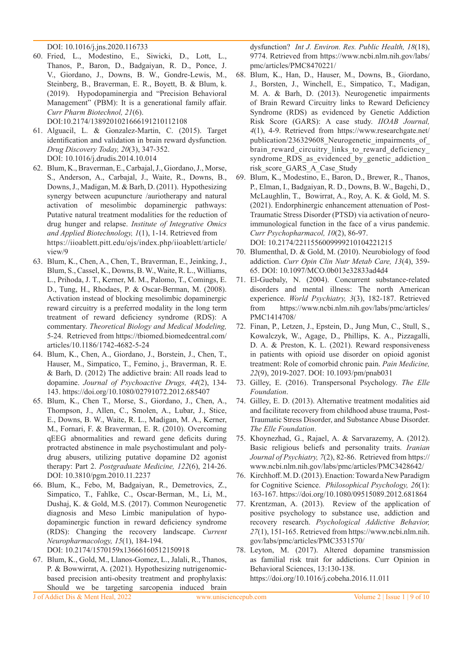DOI: 10.1016/j.jns.2020.116733

- 60. Fried, L., Modestino, E., Siwicki, D., Lott, L., Thanos, P., Baron, D., Badgaiyan, R. D., Ponce, J. V., Giordano, J., Downs, B. W., Gondre-Lewis, M., Steinberg, B., Braverman, E. R., Boyett, B. & Blum, k. (2019). Hypodopaminergia and "Precision Behavioral Management" (PBM): It is a generational family affair. *Curr Pharm Biotechnol, 21*(6). DOI:10.2174/1389201021666191210112108
- 61. Alguacil, L. & Gonzalez-Martin, C. (2015). Target identification and validation in brain reward dysfunction. *Drug Discovery Today, 20*(3), 347-352. DOI: 10.1016/j.drudis.2014.10.014
- 62. Blum, K., Braverman, E., Carbajal, J., Giordano, J., Morse, S., Anderson, A., Carbajal, J., Waite, R., Downs, B., Downs, J., Madigan, M. & Barh, D. (2011). Hypothesizing synergy between acupuncture /auriotherapy and natural activation of mesolimbic dopaminergic pathways: Putative natural treatment modalities for the reduction of drug hunger and relapse. *Institute of Integrative Omics and Applied Biotechnology, 1*(1), 1-14. Retrieved from https://iioablett.pitt.edu/ojs/index.php/iioablett/article/ view/9
- 63. Blum, K., Chen, A., Chen, T., Braverman, E., Jeinking, J., Blum, S., Cassel, K., Downs, B. W., Waite, R. L., Williams, L., Prihoda, J. T., Kerner, M. M., Palomo, T., Comings, E. D., Tung, H., Rhodaes, P. & Oscar-Berman, M. (2008). Activation instead of blocking mesolimbic dopaminergic reward circuitry is a preferred modality in the long term treatment of reward deficiency syndrome (RDS): A commentary. *Theoretical Biology and Medical Modeling,*  5-24. Retrieved from https://tbiomed.biomedcentral.com/ articles/10.1186/1742-4682-5-24
- 64. Blum, K., Chen, A., Giordano, J., Borstein, J., Chen, T., Hauser, M., Simpatico, T., Femino, j., Braverman, R. E. & Barh, D. (2012) The addictive brain: All roads lead to dopamine. *Journal of Psychoactive Drugs, 44*(2), 134- 143. https://doi.org/10.1080/02791072.2012.685407
- 65. Blum, K., Chen T., Morse, S., Giordano, J., Chen, A., Thompson, J., Allen, C., Smolen, A., Lubar, J., Stice, E., Downs, B. W., Waite, R. L., Madigan, M. A., Kerner, M., Fornari, F. & Braverman, E. R. (2010). Overcoming qEEG abnormalities and reward gene deficits during protracted abstinence in male psychostimulant and polydrug abusers, utilizing putative dopamine D2 agonist therapy: Part 2. *Postgraduate Medicine, 122*(6), 214-26. DOI: 10.3810/pgm.2010.11.2237
- 66. Blum, K., Febo, M, Badgaiyan, R., Demetrovics, Z., Simpatico, T., Fahlke, C., Oscar-Berman, M., Li, M., Dushaj, K. & Gold, M.S. (2017). Common Neurogenetic diagnosis and Meso Limbic manipulation of hypodopaminergic function in reward deficiency syndrome (RDS): Changing the recovery landscape. *Current Neuropharmacology, 15*(1), 184-194. DOI: 10.2174/1570159x13666160512150918
- 67. Blum, K., Gold, M., Llanos-Gomez, L., Jalali, R., Thanos, P. & Bowwirrat, A. (2021). Hypothesizing nutrigenomicbased precision anti-obesity treatment and prophylaxis: Should we be targeting sarcopenia induced brain

dysfunction? *Int J. Environ. Res. Public Health, 18*(18), 9774. Retrieved from https://www.ncbi.nlm.nih.gov/labs/ pmc/articles/PMC8470221/

- 68. Blum, K., Han, D., Hauser, M., Downs, B., Giordano, J., Borsten, J., Winchell, E., Simpatico, T., Madigan, M. A. & Barh, D. (2013). Neurogenetic impairments of Brain Reward Circuitry links to Reward Deficiency Syndrome (RDS) as evidenced by Genetic Addiction Risk Score (GARS): A case study. *IIOAB Journal, 4*(1), 4-9. Retrieved from https://www.researchgate.net/ publication/236329608 Neurogenetic impairments of brain reward circuitry links to reward deficiency syndrome RDS as evidenced by genetic addiction risk\_score\_GARS\_A\_Case\_Study
- 69. Blum, K., Modestino, E., Baron, D., Brewer, R., Thanos, P., Elman, I., Badgaiyan, R. D., Downs, B. W., Bagchi, D., McLaughlin, T., Bowirrat, A., Roy, A. K. & Gold, M. S. (2021). Endorphinergic enhancement attenuation of Post-Traumatic Stress Disorder (PTSD) via activation of neuroimmunological function in the face of a virus pandemic. *Curr Psychopharmacol, 10*(2), 86-97.

DOI: 10.2174/2211556009999210104221215

- 70. Blumenthal, D. & Gold, M. (2010). Neurobiology of food addiction. *Curr Opin Clin Nutr Metab Care, 13*(4), 359- 65. DOI: 10.1097/MCO.0b013e32833ad4d4
- 71. El-Guebaly, N. (2004). Concurrent substance-related disorders and mental illness: The north American experience. *World Psychiatry, 3*(3), 182-187. Retrieved from https://www.ncbi.nlm.nih.gov/labs/pmc/articles/ PMC1414708/
- 72. Finan, P., Letzen, J., Epstein, D., Jung Mun, C., Stull, S., Kowalczyk, W., Agage, D., Phillips, K. A., Pizzagalli, D. A. & Preston, K. L. (2021). Reward responsiveness in patients with opioid use disorder on opioid agonist treatment: Role of comorbid chronic pain. *Pain Medicine, 22*(9), 2019-2027. DOI: 10.1093/pm/pnab031
- 73. Gilley, E. (2016). Transpersonal Psychology. *The Elle Foundation*.
- 74. Gilley, E. D. (2013). Alternative treatment modalities aid and facilitate recovery from childhood abuse trauma, Post-Traumatic Stress Disorder, and Substance Abuse Disorder. *The Elle Foundation*.
- 75. Khoynezhad, G., Rajael, A. & Sarvarazemy, A. (2012). Basic religious beliefs and personality traits. *Iranian Journal of Psychiatry, 7*(2), 82-86. Retrieved from https:// www.ncbi.nlm.nih.gov/labs/pmc/articles/PMC3428642/
- 76. Kirchhoff. M. D. (2013). Enaction: Toward a New Paradigm for Cognitive Science. *Philosophical Psychology, 26*(1): 163-167. https://doi.org/10.1080/09515089.2012.681864
- 77. Krentzman, A. (2013). Review of the application of positive psychology to substance use, addiction and recovery research. *Psychological Addictive Behavior, 27*(1), 151-165. Retrieved from https://www.ncbi.nlm.nih. gov/labs/pmc/articles/PMC3531570/
- 78. Leyton, M. (2017). Altered dopamine transmission as familial risk trait for addictions. Curr Opinion in Behavioral Sciences, 13:130-138. https://doi.org/10.1016/j.cobeha.2016.11.011

J of Addict Dis & Ment Heal, 2022 www.unisciencepub.com Volume 2 | Issue 1 | 9 of 10